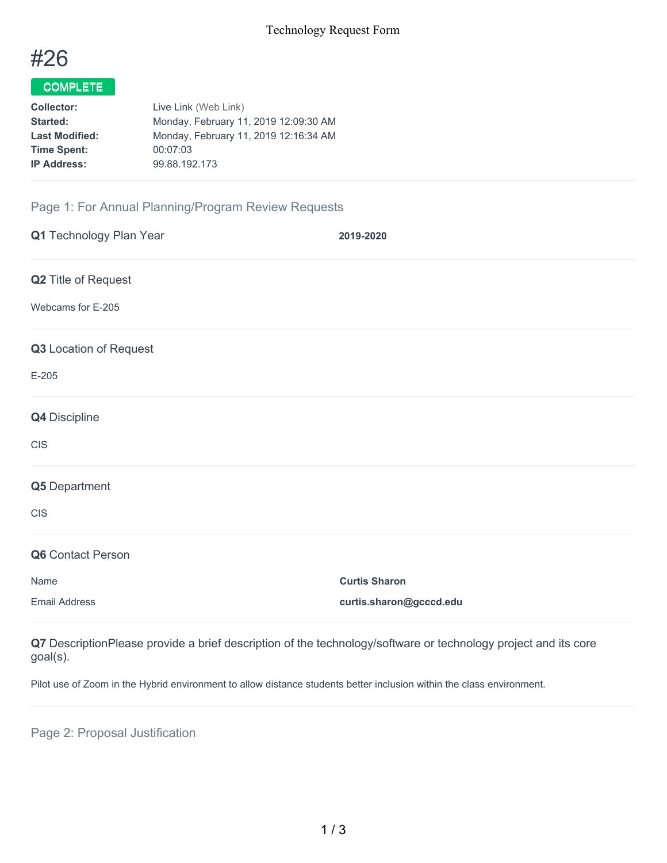

# COMPLETE

| Live Link (Web Link)                  |
|---------------------------------------|
| Monday, February 11, 2019 12:09:30 AM |
| Monday, February 11, 2019 12:16:34 AM |
| 00:07:03                              |
| 99.88.192.173                         |
|                                       |

## Page 1: For Annual Planning/Program Review Requests

| Q1 Technology Plan Year | 2019-2020               |
|-------------------------|-------------------------|
| Q2 Title of Request     |                         |
| Webcams for E-205       |                         |
| Q3 Location of Request  |                         |
| $E-205$                 |                         |
| Q4 Discipline           |                         |
| <b>CIS</b>              |                         |
| Q5 Department           |                         |
| CIS                     |                         |
| Q6 Contact Person       |                         |
| Name                    | <b>Curtis Sharon</b>    |
| <b>Email Address</b>    | curtis.sharon@gcccd.edu |
|                         |                         |

**Q7** DescriptionPlease provide a brief description of the technology/software or technology project and its core goal(s).

Pilot use of Zoom in the Hybrid environment to allow distance students better inclusion within the class environment.

Page 2: Proposal Justification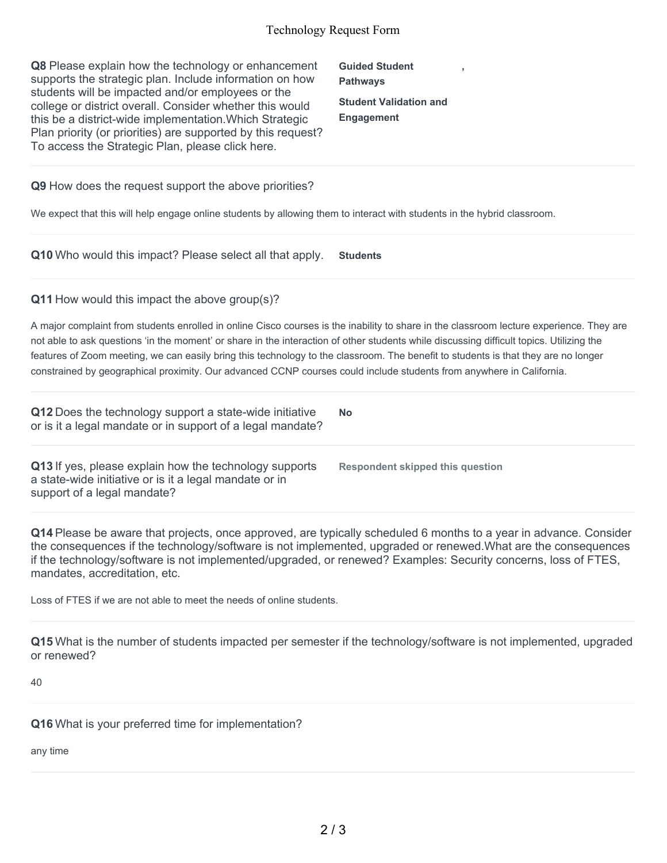#### Technology Request Form

**Q8** Please explain how the technology or enhancement supports the strategic plan. Include information on how students will be impacted and/or employees or the college or district overall. Consider whether this would this be a district-wide implementation.Which Strategic Plan priority (or priorities) are supported by this request? To access the Strategic Plan, please click here.

**Guided Student Pathways Student Validation and Engagement**

**,**

**Q9** How does the request support the above priorities?

We expect that this will help engage online students by allowing them to interact with students in the hybrid classroom.

**Q10** Who would this impact? Please select all that apply. **Students**

**Q11** How would this impact the above group(s)?

A major complaint from students enrolled in online Cisco courses is the inability to share in the classroom lecture experience. They are not able to ask questions 'in the moment' or share in the interaction of other students while discussing difficult topics. Utilizing the features of Zoom meeting, we can easily bring this technology to the classroom. The benefit to students is that they are no longer constrained by geographical proximity. Our advanced CCNP courses could include students from anywhere in California.

**Q12** Does the technology support a state-wide initiative or is it a legal mandate or in support of a legal mandate? **No**

**Q13** If yes, please explain how the technology supports a state-wide initiative or is it a legal mandate or in support of a legal mandate?

**Respondent skipped this question**

**Q14** Please be aware that projects, once approved, are typically scheduled 6 months to a year in advance. Consider the consequences if the technology/software is not implemented, upgraded or renewed.What are the consequences if the technology/software is not implemented/upgraded, or renewed? Examples: Security concerns, loss of FTES, mandates, accreditation, etc.

Loss of FTES if we are not able to meet the needs of online students.

**Q15** What is the number of students impacted per semester if the technology/software is not implemented, upgraded or renewed?

40

**Q16** What is your preferred time for implementation?

any time